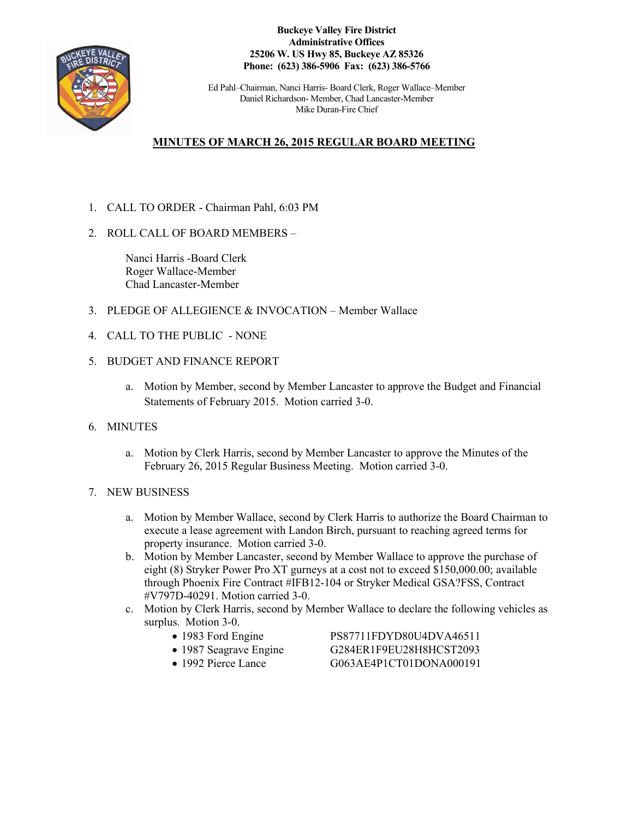

**Buckeye Valley Fire District Administrative Offices 25206 W. US Hwy 85, Buckeye AZ 85326 Phone: (623) 386-5906 Fax: (623) 386-5766**

Ed Pahl–Chairman, Nanci Harris- Board Clerk, Roger Wallace–Member Daniel Richardson- Member, Chad Lancaster-Member Mike Duran-Fire Chief

## **MINUTES OF MARCH 26, 2015 REGULAR BOARD MEETING**

- 1. CALL TO ORDER Chairman Pahl, 6:03 PM
- 2. ROLL CALL OF BOARD MEMBERS –

Nanci Harris -Board Clerk Roger Wallace-Member Chad Lancaster-Member

- 3. PLEDGE OF ALLEGIENCE & INVOCATION Member Wallace
- 4. CALL TO THE PUBLIC NONE
- 5. BUDGET AND FINANCE REPORT
	- a. Motion by Member, second by Member Lancaster to approve the Budget and Financial Statements of February 2015. Motion carried 3-0.
- 6. MINUTES
	- a. Motion by Clerk Harris, second by Member Lancaster to approve the Minutes of the February 26, 2015 Regular Business Meeting. Motion carried 3-0.
- 7. NEW BUSINESS
	- a. Motion by Member Wallace, second by Clerk Harris to authorize the Board Chairman to execute a lease agreement with Landon Birch, pursuant to reaching agreed terms for property insurance. Motion carried 3-0.
	- b. Motion by Member Lancaster, second by Member Wallace to approve the purchase of eight (8) Stryker Power Pro XT gurneys at a cost not to exceed \$150,000.00; available through Phoenix Fire Contract #IFB12-104 or Stryker Medical GSA?FSS, Contract #V797D-40291. Motion carried 3-0.
	- c. Motion by Clerk Harris, second by Member Wallace to declare the following vehicles as surplus. Motion 3-0.
		-
		-
		-

• 1983 Ford Engine PS87711FDYD80U4DVA46511 • 1987 Seagrave Engine G284ER1F9EU28H8HCST2093 • 1992 Pierce Lance G063AE4P1CT01DONA000191